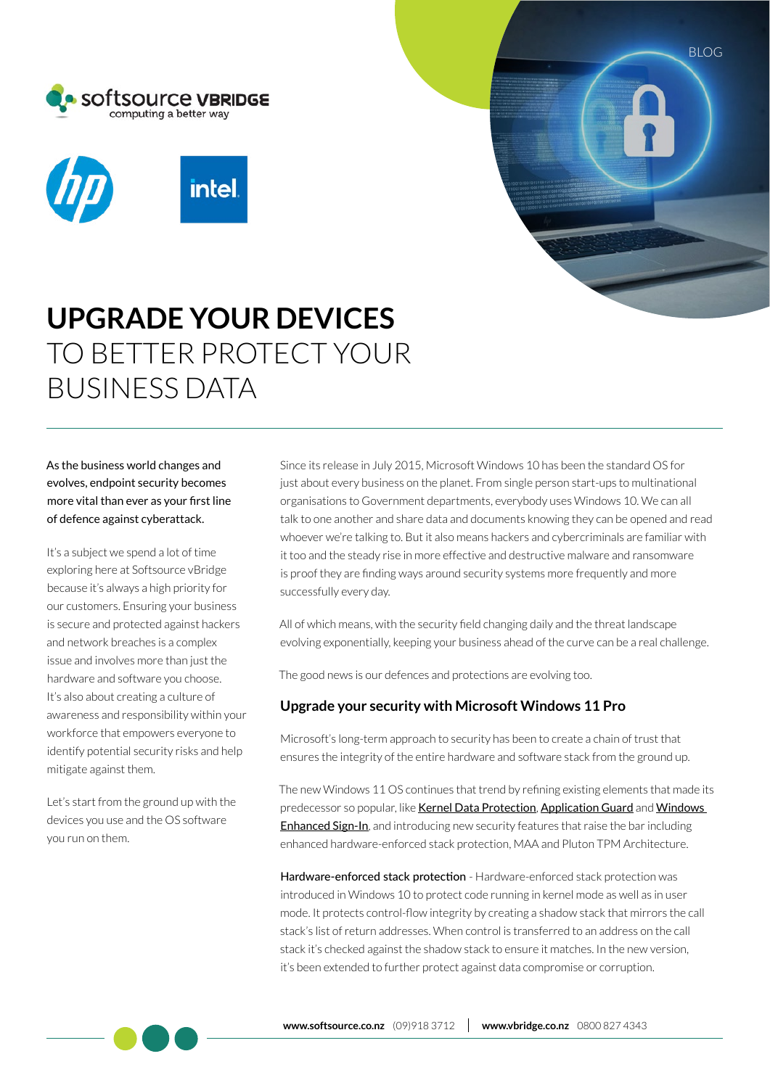



# **UPGRADE YOUR DEVICES**  TO BETTER PROTECT YOUR BUSINESS DATA

As the business world changes and evolves, endpoint security becomes more vital than ever as your first line of defence against cyberattack.

It's a subject we spend a lot of time exploring here at Softsource vBridge because it's always a high priority for our customers. Ensuring your business is secure and protected against hackers and network breaches is a complex issue and involves more than just the hardware and software you choose. It's also about creating a culture of awareness and responsibility within your workforce that empowers everyone to identify potential security risks and help mitigate against them.

Let's start from the ground up with the devices you use and the OS software you run on them.

Since its release in July 2015, Microsoft Windows 10 has been the standard OS for just about every business on the planet. From single person start-ups to multinational organisations to Government departments, everybody uses Windows 10. We can all talk to one another and share data and documents knowing they can be opened and read whoever we're talking to. But it also means hackers and cybercriminals are familiar with it too and the steady rise in more effective and destructive malware and ransomware is proof they are finding ways around security systems more frequently and more successfully every day.

BLOG

All of which means, with the security field changing daily and the threat landscape evolving exponentially, keeping your business ahead of the curve can be a real challenge.

The good news is our defences and protections are evolving too.

## **Upgrade your security with Microsoft Windows 11 Pro**

Microsoft's long-term approach to security has been to create a chain of trust that ensures the integrity of the entire hardware and software stack from the ground up.

The new Windows 11 OS continues that trend by refining existing elements that made its predecessor so popular, like Kernel Data Protection, Application Guard and Windows **Enhanced Sign-In**, and introducing new security features that raise the bar including enhanced hardware-enforced stack protection, MAA and Pluton TPM Architecture.

Hardware-enforced stack protection - Hardware-enforced stack protection was introduced in Windows 10 to protect code running in kernel mode as well as in user mode. It protects control-flow integrity by creating a shadow stack that mirrors the call stack's list of return addresses. When control is transferred to an address on the call stack it's checked against the shadow stack to ensure it matches. In the new version, it's been extended to further protect against data compromise or corruption.